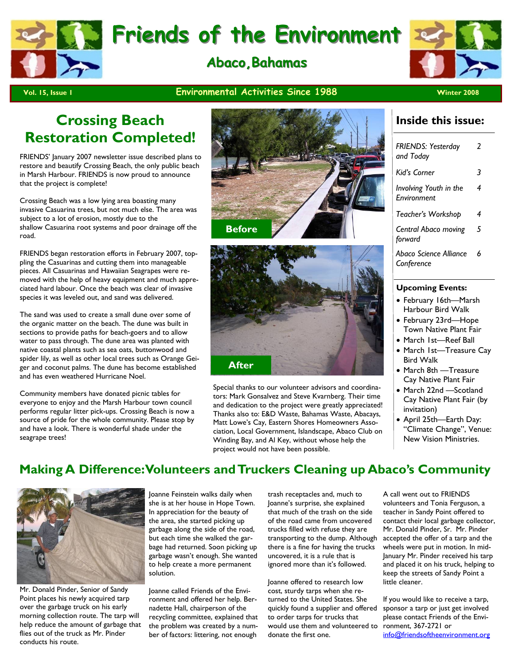

## **Abaco, Bahamas**



#### **Pol. 15, Issue 1 CONSIDER MICHOLOGY CONSIDERATION CONSIDERATION CONSIDERATION CONSIDERATION CONSIDERATION**

## **Crossing Beach Restoration Completed!**

FRIENDS' January 2007 newsletter issue described plans to restore and beautify Crossing Beach, the only public beach in Marsh Harbour. FRIENDS is now proud to announce that the project is complete!

Crossing Beach was a low lying area boasting many invasive Casuarina trees, but not much else. The area was subject to a lot of erosion, mostly due to the shallow Casuarina root systems and poor drainage off the road.

FRIENDS began restoration efforts in February 2007, toppling the Casuarinas and cutting them into manageable pieces. All Casuarinas and Hawaiian Seagrapes were removed with the help of heavy equipment and much appreciated hard labour. Once the beach was clear of invasive species it was leveled out, and sand was delivered.

The sand was used to create a small dune over some of the organic matter on the beach. The dune was built in sections to provide paths for beach-goers and to allow water to pass through. The dune area was planted with native coastal plants such as sea oats, buttonwood and spider lily, as well as other local trees such as Orange Geiger and coconut palms. The dune has become established and has even weathered Hurricane Noel.

Community members have donated picnic tables for everyone to enjoy and the Marsh Harbour town council performs regular litter pick-ups. Crossing Beach is now a source of pride for the whole community. Please stop by and have a look. There is wonderful shade under the seagrape trees!





Special thanks to our volunteer advisors and coordinators: Mark Gonsalvez and Steve Kvarnberg. Their time and dedication to the project were greatly appreciated! Thanks also to: E&D Waste, Bahamas Waste, Abacays, Matt Lowe's Cay, Eastern Shores Homeowners Association, Local Government, Islandscape, Abaco Club on Winding Bay, and Al Key, without whose help the project would not have been possible.

### **Inside this issue:**

| <b>FRIENDS: Yesterday</b><br>and Today | 2 |
|----------------------------------------|---|
| Kiďs Corner                            | 3 |
| Involving Youth in the<br>Environment  | 4 |
| Teacher's Workshop                     | 4 |
| Central Abaco moving<br>forward        | 5 |
| Abaco Science Alliance<br>Conference   | 6 |
|                                        |   |

#### **Upcoming Events:**

- February 16th—Marsh Harbour Bird Walk
- February 23rd—Hope Town Native Plant Fair
- March 1st—Reef Ball
- March 1st—Treasure Cay Bird Walk
- March 8th —Treasure Cay Native Plant Fair
- March 22nd —Scotland Cay Native Plant Fair (by invitation)
- April 25th—Earth Day: "Climate Change", Venue: New Vision Ministries.

## **Making A Difference: Volunteers and Truckers Cleaning up Abaco's Community**



Mr. Donald Pinder, Senior of Sandy Point places his newly acquired tarp over the garbage truck on his early morning collection route. The tarp will help reduce the amount of garbage that flies out of the truck as Mr. Pinder conducts his route.

Joanne Feinstein walks daily when she is at her house in Hope Town. In appreciation for the beauty of the area, she started picking up garbage along the side of the road, but each time she walked the garbage had returned. Soon picking up garbage wasn't enough. She wanted to help create a more permanent solution.

Joanne called Friends of the Environment and offered her help. Bernadette Hall, chairperson of the recycling committee, explained that the problem was created by a number of factors: littering, not enough

trash receptacles and, much to Joanne's surprise, she explained that much of the trash on the side of the road came from uncovered trucks filled with refuse they are transporting to the dump. Although there is a fine for having the trucks uncovered, it is a rule that is ignored more than it's followed.

Joanne offered to research low cost, sturdy tarps when she returned to the United States. She quickly found a supplier and offered to order tarps for trucks that would use them and volunteered to donate the first one.

A call went out to FRIENDS volunteers and Tonia Ferguson, a teacher in Sandy Point offered to contact their local garbage collector, Mr. Donald Pinder, Sr. Mr. Pinder accepted the offer of a tarp and the wheels were put in motion. In mid-January Mr. Pinder received his tarp and placed it on his truck, helping to keep the streets of Sandy Point a little cleaner.

If you would like to receive a tarp, sponsor a tarp or just get involved please contact Friends of the Environment, 367-2721 or info@friendsoftheenvironment.org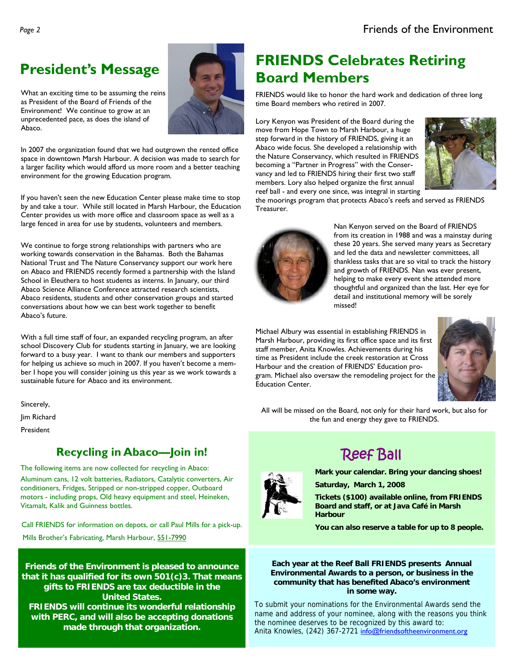What an exciting time to be assuming the reins as President of the Board of Friends of the Environment! We continue to grow at an unprecedented pace, as does the island of Abaco.

In 2007 the organization found that we had outgrown the rented office space in downtown Marsh Harbour. A decision was made to search for a larger facility which would afford us more room and a better teaching environment for the growing Education program.

If you haven't seen the new Education Center please make time to stop by and take a tour. While still located in Marsh Harbour, the Education Center provides us with more office and classroom space as well as a large fenced in area for use by students, volunteers and members.

We continue to forge strong relationships with partners who are working towards conservation in the Bahamas. Both the Bahamas National Trust and The Nature Conservancy support our work here on Abaco and FRIENDS recently formed a partnership with the Island School in Eleuthera to host students as interns. In January, our third Abaco Science Alliance Conference attracted research scientists, Abaco residents, students and other conservation groups and started conversations about how we can best work together to benefit Abaco's future.

With a full time staff of four, an expanded recycling program, an after school Discovery Club for students starting in January, we are looking forward to a busy year. I want to thank our members and supporters for helping us achieve so much in 2007. If you haven't become a member I hope you will consider joining us this year as we work towards a sustainable future for Abaco and its environment.

Sincerely, Jim Richard

President

## **Recycling in Abaco—Join in!**

The following items are now collected for recycling in Abaco: Aluminum cans, 12 volt batteries, Radiators, Catalytic converters, Air conditioners, Fridges, Stripped or non-stripped copper, Outboard motors - including props, Old heavy equipment and steel, Heineken, Vitamalt, Kalik and Guinness bottles.

Call FRIENDS for information on depots, or call Paul Mills for a pick-up. Mills Brother's Fabricating, Marsh Harbour, 551-7990

**Friends of the Environment is pleased to announce that it has qualified for its own 501(c)3. That means gifts to FRIENDS are tax deductible in the United States. FRIENDS will continue its wonderful relationship with PERC, and will also be accepting donations made through that organization.** 

## President's Message **Communist President's Message <b>ATTLE PRIENDS** Celebrates Retiring **Board Members**

FRIENDS would like to honor the hard work and dedication of three long time Board members who retired in 2007.

Lory Kenyon was President of the Board during the move from Hope Town to Marsh Harbour, a huge step forward in the history of FRIENDS, giving it an Abaco wide focus. She developed a relationship with the Nature Conservancy, which resulted in FRIENDS becoming a "Partner in Progress" with the Conservancy and led to FRIENDS hiring their first two staff members. Lory also helped organize the first annual reef ball - and every one since, was integral in starting



the moorings program that protects Abaco's reefs and served as FRIENDS Treasurer.



Nan Kenyon served on the Board of FRIENDS from its creation in 1988 and was a mainstay during these 20 years. She served many years as Secretary and led the data and newsletter committees, all thankless tasks that are so vital to track the history and growth of FRIENDS. Nan was ever present, helping to make every event she attended more thoughtful and organized than the last. Her eye for detail and institutional memory will be sorely missed!

Michael Albury was essential in establishing FRIENDS in Marsh Harbour, providing its first office space and its first staff member, Anita Knowles. Achievements during his time as President include the creek restoration at Cross Harbour and the creation of FRIENDS' Education program. Michael also oversaw the remodeling project for the Education Center.



All will be missed on the Board, not only for their hard work, but also for the fun and energy they gave to FRIENDS.

## Reef Ball

**Mark your calendar. Bring your dancing shoes! Saturday, March 1, 2008** 

**Tickets (\$100) available online, from FRIENDS Board and staff, or at Java Café in Marsh Harbour** 

**You can also reserve a table for up to 8 people.** 

#### **Each year at the Reef Ball FRIENDS presents Annual Environmental Awards to a person, or business in the community that has benefited Abaco's environment in some way.**

To submit your nominations for the Environmental Awards send the name and address of your nominee, along with the reasons you think the nominee deserves to be recognized by this award to: Anita Knowles, (242) 367-2721 info@friendsoftheenvironment.org

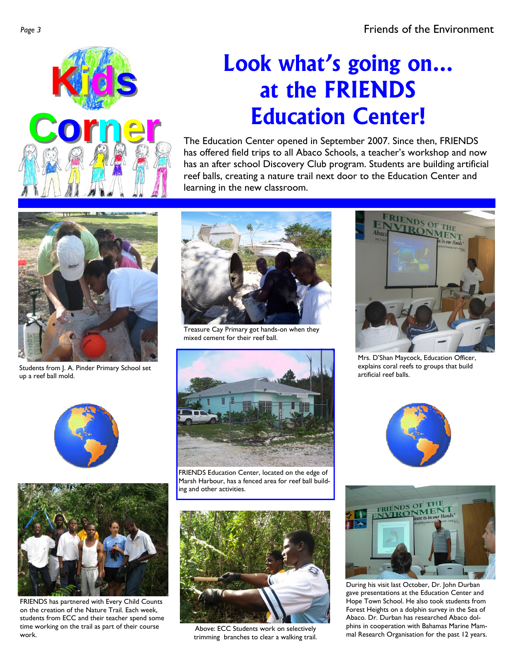

# **Look what's going on… at the FRIENDS Education Center!**

The Education Center opened in September 2007. Since then, FRIENDS has offered field trips to all Abaco Schools, a teacher's workshop and now has an after school Discovery Club program. Students are building artificial reef balls, creating a nature trail next door to the Education Center and learning in the new classroom.



Students from J. A. Pinder Primary School set up a reef ball mold.





FRIENDS has partnered with Every Child Counts on the creation of the Nature Trail. Each week, students from ECC and their teacher spend some time working on the trail as part of their course time working on the trail as part of their course<br>Work. Above: ECC Students work on selectively<br>work.



Treasure Cay Primary got hands-on when they mixed cement for their reef ball.



FRIENDS Education Center, located on the edge of Marsh Harbour, has a fenced area for reef ball building and other activities.



trimming branches to clear a walking trail.



Mrs. D'Shan Maycock, Education Officer, explains coral reefs to groups that build artificial reef balls.





During his visit last October, Dr. John Durban gave presentations at the Education Center and Hope Town School. He also took students from Forest Heights on a dolphin survey in the Sea of Abaco. Dr. Durban has researched Abaco dolphins in cooperation with Bahamas Marine Mammal Research Organisation for the past 12 years.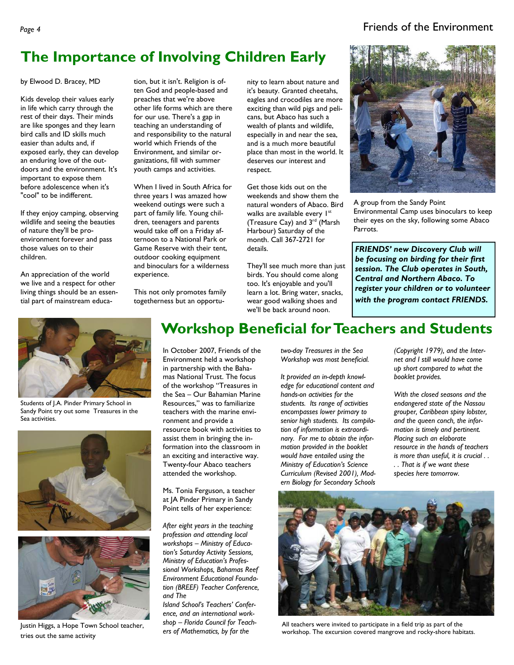#### Page 4 **Friends of the Environment**

## **The Importance of Involving Children Early**

by Elwood D. Bracey, MD

Kids develop their values early in life which carry through the rest of their days. Their minds are like sponges and they learn bird calls and ID skills much easier than adults and, if exposed early, they can develop an enduring love of the outdoors and the environment. It's important to expose them before adolescence when it's "cool" to be indifferent.

If they enjoy camping, observing wildlife and seeing the beauties of nature they'll be proenvironment forever and pass those values on to their children.

An appreciation of the world we live and a respect for other living things should be an essential part of mainstream educa-

tion, but it isn't. Religion is often God and people-based and preaches that we're above other life forms which are there for our use. There's a gap in teaching an understanding of and responsibility to the natural world which Friends of the Environment, and similar organizations, fill with summer youth camps and activities.

When I lived in South Africa for three years I was amazed how weekend outings were such a part of family life. Young children, teenagers and parents would take off on a Friday afternoon to a National Park or Game Reserve with their tent, outdoor cooking equipment and binoculars for a wilderness experience.

This not only promotes family togetherness but an opportunity to learn about nature and it's beauty. Granted cheetahs, eagles and crocodiles are more exciting than wild pigs and pelicans, but Abaco has such a wealth of plants and wildlife, especially in and near the sea, and is a much more beautiful place than most in the world. It deserves our interest and respect.

Get those kids out on the weekends and show them the natural wonders of Abaco. Bird walks are available every 1st (Treasure Cay) and 3<sup>rd</sup> (Marsh Harbour) Saturday of the month. Call 367-2721 for details.

They'll see much more than just birds. You should come along too. It's enjoyable and you'll learn a lot. Bring water, snacks, wear good walking shoes and we'll be back around noon.



A group from the Sandy Point Environmental Camp uses binoculars to keep their eyes on the sky, following some Abaco Parrots.

*FRIENDS' new Discovery Club will be focusing on birding for their first session. The Club operates in South, Central and Northern Abaco. To register your children or to volunteer with the program contact FRIENDS.* 



Students of J.A. Pinder Primary School in Sandy Point try out some Treasures in the Sea activities.





tries out the same activity

## **Workshop Beneficial for Teachers and Students**

In October 2007, Friends of the Environment held a workshop in partnership with the Bahamas National Trust. The focus of the workshop "Treasures in the Sea – Our Bahamian Marine Resources," was to familiarize teachers with the marine environment and provide a resource book with activities to assist them in bringing the information into the classroom in an exciting and interactive way. Twenty-four Abaco teachers attended the workshop.

Ms. Tonia Ferguson, a teacher at JA Pinder Primary in Sandy Point tells of her experience:

*After eight years in the teaching profession and attending local workshops – Ministry of Education's Saturday Activity Sessions, Ministry of Education's Professional Workshops, Bahamas Reef Environment Educational Foundation (BREEF) Teacher Conference, and The* 

*Island School's Teachers' Conference, and an international workshop – Florida Council for Teachers of Mathematics, by far the* 

*two-day Treasures in the Sea Workshop was most beneficial.* 

*It provided an in-depth knowledge for educational content and hands-on activities for the students. Its range of activities encompasses lower primary to senior high students. Its compilation of information is extraordinary. For me to obtain the information provided in the booklet would have entailed using the Ministry of Education's Science Curriculum (Revised 2001), Modern Biology for Secondary Schools* 

*(Copyright 1979), and the Internet and I still would have come up short compared to what the booklet provides.* 

*With the closed seasons and the endangered state of the Nassau grouper, Caribbean spiny lobster, and the queen conch, the information is timely and pertinent. Placing such an elaborate resource in the hands of teachers is more than useful, it is crucial . . . . That is if we want these species here tomorrow.* 



All teachers were invited to participate in a field trip as part of the Justin Higgs, a Hope Town School teacher, strop – Fiorida Council for Teach-<br>ers of Mathematics, by far the workshop. The excursion covered mangrove and rocky-shore habitats.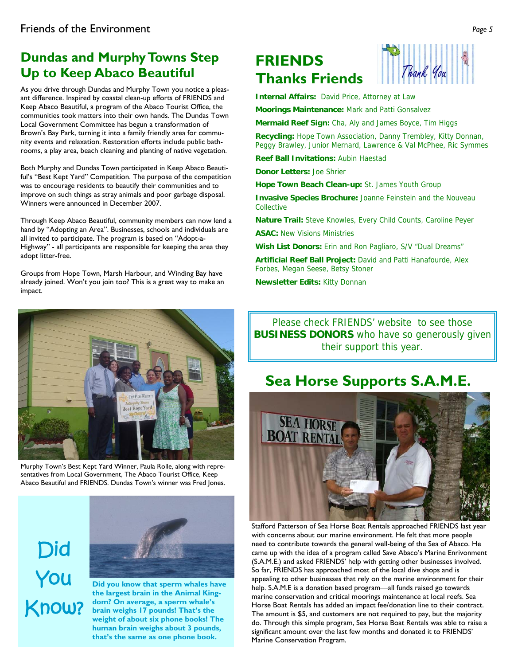## **Dundas and Murphy Towns Step Up to Keep Abaco Beautiful**

As you drive through Dundas and Murphy Town you notice a pleasant difference. Inspired by coastal clean-up efforts of FRIENDS and Keep Abaco Beautiful, a program of the Abaco Tourist Office, the communities took matters into their own hands. The Dundas Town Local Government Committee has begun a transformation of Brown's Bay Park, turning it into a family friendly area for community events and relaxation. Restoration efforts include public bathrooms, a play area, beach cleaning and planting of native vegetation.

Both Murphy and Dundas Town participated in Keep Abaco Beautiful's "Best Kept Yard" Competition. The purpose of the competition was to encourage residents to beautify their communities and to improve on such things as stray animals and poor garbage disposal. Winners were announced in December 2007.

Through Keep Abaco Beautiful, community members can now lend a hand by "Adopting an Area". Businesses, schools and individuals are all invited to participate. The program is based on "Adopt-a-Highway" - all participants are responsible for keeping the area they adopt litter-free.

Groups from Hope Town, Marsh Harbour, and Winding Bay have already joined. Won't you join too? This is a great way to make an impact.





**Internal Affairs:** David Price, Attorney at Law

**Moorings Maintenance:** Mark and Patti Gonsalvez

**Mermaid Reef Sign:** Cha, Aly and James Boyce, Tim Higgs

**Recycling:** Hope Town Association, Danny Trembley, Kitty Donnan, Peggy Brawley, Junior Mernard, Lawrence & Val McPhee, Ric Symmes

**Reef Ball Invitations:** Aubin Haestad

**Donor Letters:** Joe Shrier

**Hope Town Beach Clean-up:** St. James Youth Group

**Invasive Species Brochure:** Joanne Feinstein and the Nouveau Collective

**Nature Trail:** Steve Knowles, Every Child Counts, Caroline Peyer

**ASAC:** New Visions Ministries

**Wish List Donors:** Erin and Ron Pagliaro, S/V "Dual Dreams"

**Artificial Reef Ball Project:** David and Patti Hanafourde, Alex Forbes, Megan Seese, Betsy Stoner

**Newsletter Edits:** Kitty Donnan

Please check FRIENDS' website to see those **BUSINESS DONORS** who have so generously given their support this year.

## **Sea Horse Supports S.A.M.E.**



Stafford Patterson of Sea Horse Boat Rentals approached FRIENDS last year with concerns about our marine environment. He felt that more people need to contribute towards the general well-being of the Sea of Abaco. He came up with the idea of a program called Save Abaco's Marine Enrivonment (S.A.M.E.) and asked FRIENDS' help with getting other businesses involved. So far, FRIENDS has approached most of the local dive shops and is appealing to other businesses that rely on the marine environment for their help. S.A.M.E is a donation based program—all funds raised go towards marine conservation and critical moorings maintenance at local reefs. Sea Horse Boat Rentals has added an impact fee/donation line to their contract. The amount is \$5, and customers are not required to pay, but the majority do. Through this simple program, Sea Horse Boat Rentals was able to raise a significant amount over the last few months and donated it to FRIENDS' Marine Conservation Program.



Murphy Town's Best Kept Yard Winner, Paula Rolle, along with representatives from Local Government, The Abaco Tourist Office, Keep Abaco Beautiful and FRIENDS. Dundas Town's winner was Fred Jones.

Did You Know?



**Did you know that sperm whales have the largest brain in the Animal Kingdom? On average, a sperm whale's brain weighs 17 pounds! That's the weight of about six phone books! The human brain weighs about 3 pounds, that's the same as one phone book.**